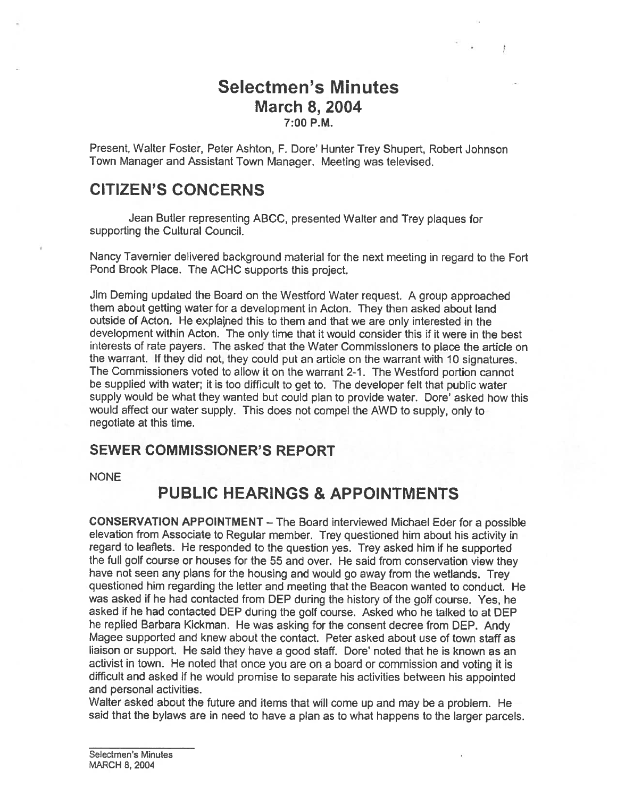# Selectmen's Minutes March 8, 2004 7:00 P.M.

Present, Walter Foster, Peter Ashton, F. Dote' Hunter Trey Shupert, Robert Johnson Town Manager and Assistant Town Manager. Meeting was televised.

## CITIZEN'S CONCERNS

Jean Butler representing ABCC, presented Walter and Trey <sup>p</sup>laques for supporting the Cultural Council.

Nancy Tavernier delivered background material for the next meeting in regard to the Fort Pond Brook Place. The ACHC supports this project.

Jim Deming updated the Board on the Westford Water request. <sup>A</sup> group approached them about getting water for <sup>a</sup> development in Acton. They then asked about land outside of Acton. He explained this to them and that we are only interested in the development within Acton. The only time that it would consider this if it were in the best interests of rate payers. The asked that the Water Commissioners to <sup>p</sup>lace the article on the warrant, If they did not, they could pu<sup>t</sup> an article on the warrant with <sup>10</sup> signatures. The Commissioners voted to allow it on the warrant 2-1. The Westford portion cannot be supplied with water; it is too difficult to ge<sup>t</sup> to. The developer felt that public water supply would be what they wanted but could plan to provide water. Dore' asked how this would affect our water supply. This does not compe<sup>l</sup> the AWD to supply, only to negotiate at this time.

#### SEWER COMMISSIONER'S REPORT

NONE

# PUBLiC HEARINGS & APPOINTMENTS

CONSERVATION APPOINTMENT — The Board interviewed Michael Eder for <sup>a</sup> possible elevation from Associate to Regular member. Trey questioned him about his activity in regar<sup>d</sup> to leaflets. He responded to the question yes. Trey asked him if he supported the full golf course or houses for the <sup>55</sup> and over. He said from conservation view they have not seen any <sup>p</sup>lans for the housing and would go away from the wetlands. Trey questioned him regarding the letter and meeting that the Beacon wanted to conduct. He was asked if he had contacted from DEP during the history of the golf course. Yes, he asked if he had contacted DEP during the golf course. Asked who he talked to at DEP he replied Barbara Kickman. He was asking for the consent decree from DEP. Andy Magee supported and knew about the contact. Peter asked about use of town staff as liaison or support. He said they have a good staff. Dore' noted that he is known as an activist in town. He noted that once you are on <sup>a</sup> board or commission and voting it is difficult and asked if he would promise to separate his activities between his appointed and personal activities.

Walter asked about the future and items that will come up and may be <sup>a</sup> problem. He said that the bylaws are in need to have <sup>a</sup> <sup>p</sup>lan as to what happens to the larger parcels.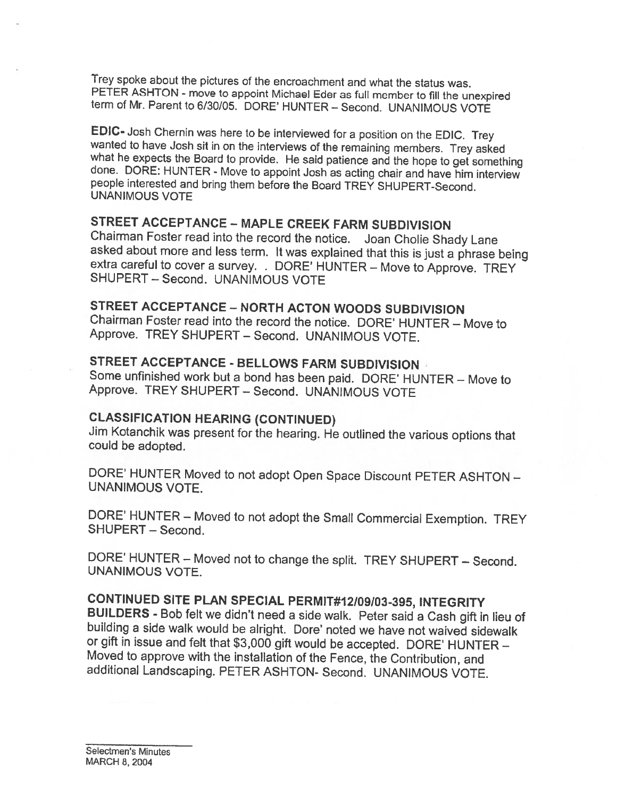Trey spoke about the pictures of the encroachment and what the status was.<br>PETER ASHTON - move to appoint Michael Eder as full member to fill the unexpired term of Mr. Parent to 6/30/05. DORE' HUNTER - Second. UNANIMOUS VOTE

**EDIC-** Josh Chernin was here to be interviewed for a position on the EDIC. Trey wanted to have Josh sit in on the interviews of the remaining members. Trey asked what he expects the Board to provide. He said patience and people interested and bring them before the Board TREY SHUPERT-Second. UNANIMOUS VOTE

STREET ACCEPTANCE - MAPLE CREEK FARM SUBDIVISION<br>Chairman Foster read into the record the notice. Joan Cholie Shady Lane asked about more and less term. It was explained that this is just a phrase being<br>extra careful to cover a survey. . DORE' HUNTER - Move to Approve. TREY<br>SHUPERT - Second. UNANIMOUS VOTE

# STREET ACCEPTANCE — NORTH ACTON WOODS SUBDIVISION

Chairman Foster read into the record the notice. DORE' HUNTER — Move to Approve. TREY SHUPERT — Second. UNANIMOUS VOTE.

#### STREET ACCEPTANCE - BELLOWS FARM SUBDIVISION

Some unfinished work but <sup>a</sup> bond has been paid. DORE' HUNTER — Move to Approve. TREY SHUPERT — Second. UNANIMOUS VOTE

#### CLASSIFICATION HEARING (CONTINUED)

Jim Kotanchik was present for the hearing. He outlined the various options that could be adopted.

DORE' HUNTER Moved to not adopt Open Space Discount PETER ASHTON -UNANIMOUS VOTE.

DQRE' HUNTER — Moved to not adopt the Small Commercial Exemption. TREY SHUPERT — Second.

DORE' HUNTER — Moved not to change the split. TREY SHUPERT — Second. UNANIMOUS VOTE.

CONTINUED SITE PLAN SPECIAL PERMIT#12/09/03-395, INTEGRITY<br>BUILDERS - Bob felt we didn't need a side walk. Peter said a Cash gift in lieu of building a side walk would be alright. Dore' noted we have not waived sidewalk or gift in issue and felt that  $$3,000$  gift would be accepted. DORE' HUNTER  $-$ Moved to approve with the installation of the Fence, the Contribution, and additional Landscaping. PETER ASHTON- Second. UNANIMOUS VOTE.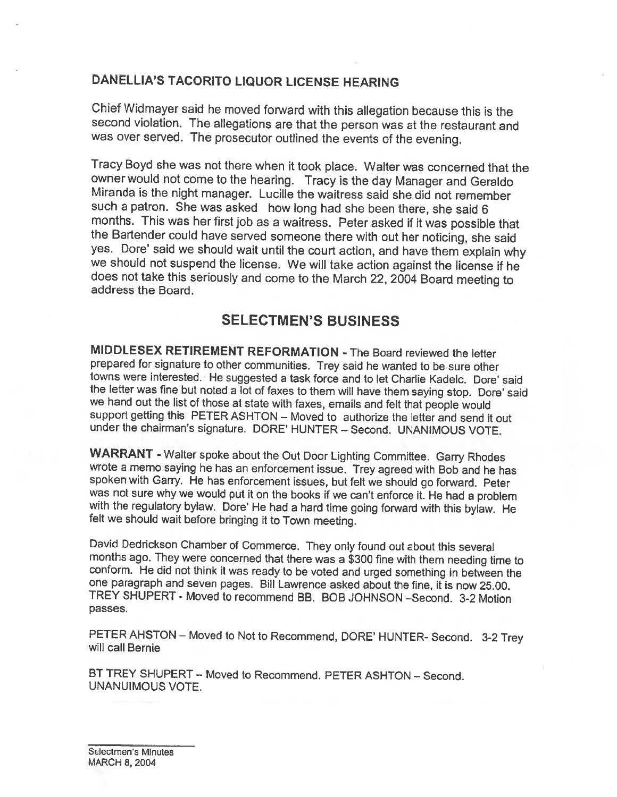#### DANELLIA'S TACORITO LIQUOR LICENSE HEARING

Chief Widmayer said he moved forward with this allegation because this is the second violation. The allegations are that the person was at the restaurant and was over served. The prosecutor outlined the events of the evening.

Tracy Boyd she was not there when it took <sup>p</sup>lace. Walter was concerned that the owner would not come to the hearing. Tracy is the day Manager and Geraldo Miranda is the night manager. Lucille the waitress said she did not remember such <sup>a</sup> patron. She was asked how long had she been there, she said <sup>6</sup> months. This was her first job as <sup>a</sup> waitress. Peter asked if it was possible that the Bartender could have served someone there with out her noticing, she said yes. Dore' said we should wait until the court action, and have them explain why we should not suspend the license. We will take action against the license if he does not take this seriously and come to the March 22, <sup>2004</sup> Board meeting to address the Board.

#### SELECTMEN'S BUSINESS

MIDDLESEX RETIREMENT REFORMATION - The Board reviewed the letter prepared for signature to other communities. Trey said he wanted to be sure other towns were interested. He suggested a task force and to let Charlie Kadelc. Dore' said the letter was fine but noted a lot of faxes to them will have them saying stop. Dore' said we hand out the list of those at state with faxes, emails and felt that people would support getting this PETER ASHTON — Moved to authorize the letter and send it out under the chairman's signature. DORE' HUNTER — Second. UNANIMOUS VOTE.

WARRANT - Walter spoke about the Out Door Lighting Committee. Garry Rhodes wrote <sup>a</sup> memo saying he has an enforcement issue. Trey agreed with Bob and he has spoken with Garry. He has enforcement issues, but felt we should go forward. Peter was not sure why we would put it on the books if we can't enforce it. He had a problem with the regulatory bylaw. Dore' He had a hard time going forward with this bylaw. He felt we should wait before bringing it to Town meeting.

David Dedrickson Chamber of Commerce. They only found out about this several months ago. They were concerned that there was a \$300 fine with them needing time to conform. He did not think it was ready to be voted and urged one paragrap<sup>h</sup> and seven pages. Bill Lawrence asked about the fine, it is now 25.00. TREY SHUPERT - Moved to recommend BB. BOB JOHNSON —Second. 3-2 Motion passes.

PETER AHSTON — Moved to Not to Recommend, DORE' HUNTER- Second. 3-2 Trey will call Bernie

ST TREY SHUPERT — Moved to Recommend. PETER ASHTON — Second. UNANUIMOUS VOTE.

Selectmen's Minutes MARCH 8, 2004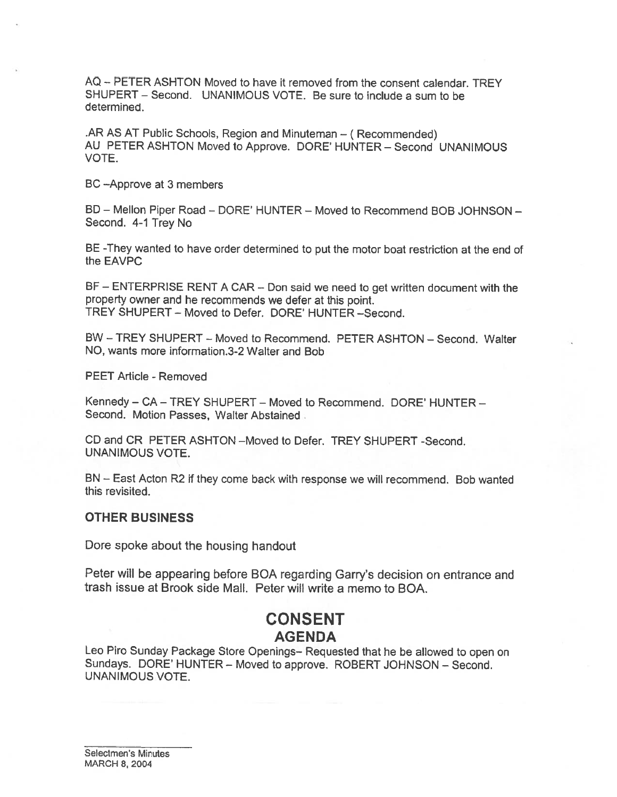AQ — PETER ASHTON Moved to have it removed from the consent calendar. TREY SHUPERT – Second. UNANIMOUS VOTE. Be sure to include a sum to be determined.

.AR AS AT Public Schools, Region and Minuteman  $-$  (Recommended) AU PETER ASHTON Moved to Approve. DORE' HUNTER — Second UNANIMOUS VOTE.

BC —Approve at 3 members

BD – Mellon Piper Road – DORE' HUNTER – Moved to Recommend BOB JOHNSON – Second. 4-1 Trey No

BE -They wanted to have order determined to pu<sup>t</sup> the motor boat restriction at the end of the EAVPC

BF — ENTERPRiSE RENT <sup>A</sup> CAR — Don said we need to ge<sup>t</sup> written document with the property owner and he recommends we defer at this point. TREY SHUPERT — Moved to Defer. DORE' HUNTER —Second.

BW - TREY SHUPERT - Moved to Recommend. PETER ASHTON - Second. Walter NO, wants more information.3-2 Walter and Bob

PEET Article - Removed

Kennedy - CA - TREY SHUPERT - Moved to Recommend. DORE' HUNTER -Second. Motion Passes, Walter Abstained.

CD and CR PETER ASHTON —Moved to Defer. TREY SHUPERT -Second. UNANIMOUS VOTE.

EN — East Acton R2 if they come back with response we wilt recommend. Bob wanted this revisited.

#### OTHER BUSINESS

Dore spoke about the housing handout

Peter will be appearing before BOA regarding Garry's decision on entrance and trash issue at Brook side Mall. Peter will write <sup>a</sup> memo to BOA.

# CONSENT AGENDA

Leo Piro Sunday Package Store Openings— Requested that he be allowed to open on Sundays. DORE' HUNTER — Moved to approve. ROBERT JOHNSON — Second. UNANIMOUS VOTE.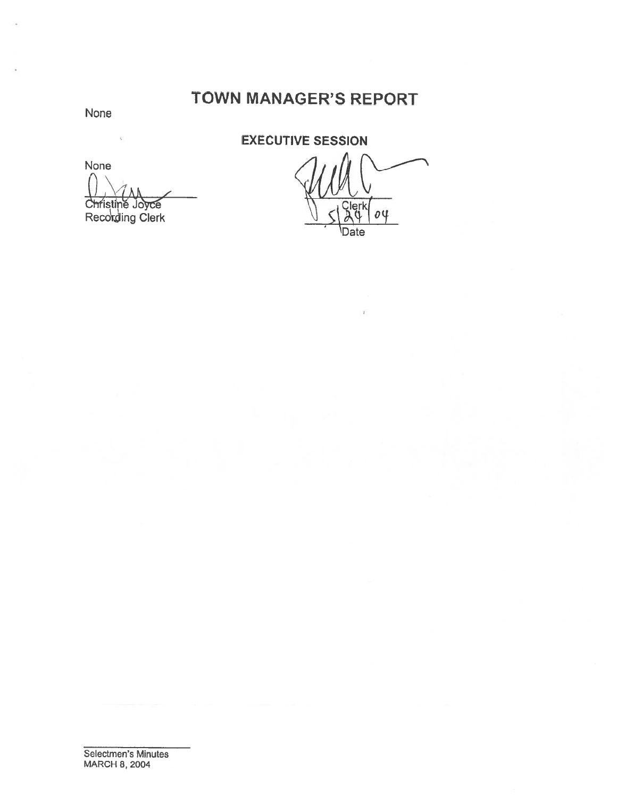# TOWN MANAGER'S REPORT

None

#### EXECUTIVE SESSION

None

 $\hat{\Sigma}$ 

Christině Joyce<br>Recording Clerk  $\bigcup_{S \in \mathcal{A}} G$ 

οÜ **Date**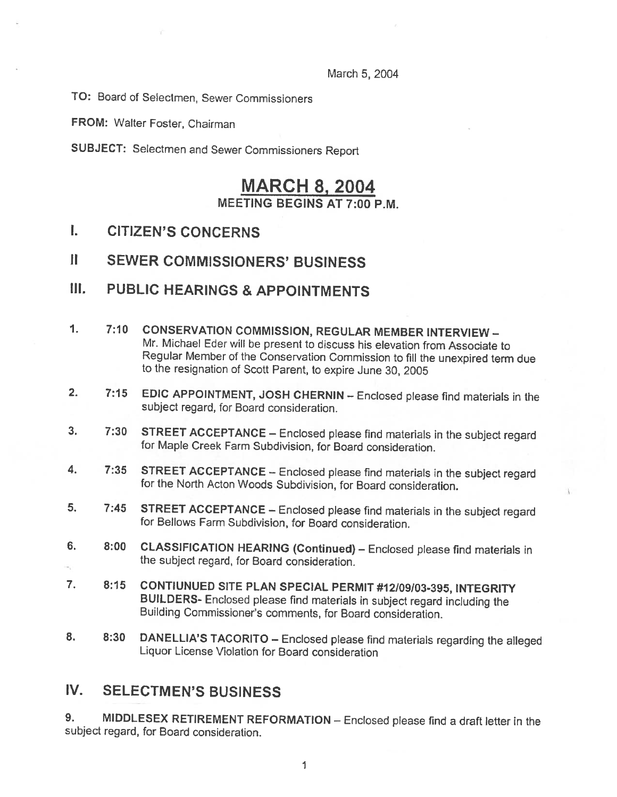March 5, 2004

TO: Board of Selectmen, Sewer Commissioners

FROM: Walter Foster, Chairman

SUBJECT: Selectmen and Sewer Commissioners Report

# MARCH 8, 2004 MEETING BEGINS AT 7:00 P.M.

I. CITIZEN'S CONCERNS

#### II SEWER COMMISSIONERS' BUSINESS

#### III. PUBLIC HEARINGS & APPOINTMENTS

- 1. 7:10 CONSERVATION COMMISSION, REGULAR MEMBER INTERVIEW— Mr. Michael Eder will be present to discuss his elevation from Associate to Regular Member of the Conservation Commission to fill the unexpired term due to the resignation of Scott Parent, to expire June 30, <sup>2005</sup>
- 2. 7:15 EDIC APPOINTMENT, JOSH CHERNIN Enclosed <sup>p</sup>lease find materials in the subject regard, for Board consideration.
- 3. 7:30 STREET ACCEPTANCE Enclosed please find materials in the subject regard for Maple Creek Farm Subdivision, for Board consideration.
- 4. 7:35 STREET ACCEPTANCE Enclosed <sup>p</sup>lease find materials in the subject regard for the North Acton Woods Subdivision, for Board consideration.
- 5. 7:45 STREET ACCEPTANCE Enclosed <sup>p</sup>lease find materials in the subject regard for Bellows Farm Subdivision, for Board consideration.
- 6. 8:00 CLASSIFICATION HEARING (Continued) Enclosed please find materials in the subject regard, for Board consideration.
- 7. 8:15 CONTIUNUED SITE PLAN SPECIAL PERMIT #12/09/03-395, INTEGRITY BUJLDERS- Enclosed <sup>p</sup>lease find materials in subject regard including the Building Commissioner's comments, for Board consideration.
- 8. 8:30 DANELLIA'S TACORITO Enclosed please find materials regarding the alleged<br>Liquor License Violation for Board consideration

### IV. SELECTMEN'S BUSINESS

9. MIDDLESEX RETIREMENT REFORMATiON — Enclosed <sup>p</sup>lease find <sup>a</sup> draft letter in the subject regard, for Board consideration.